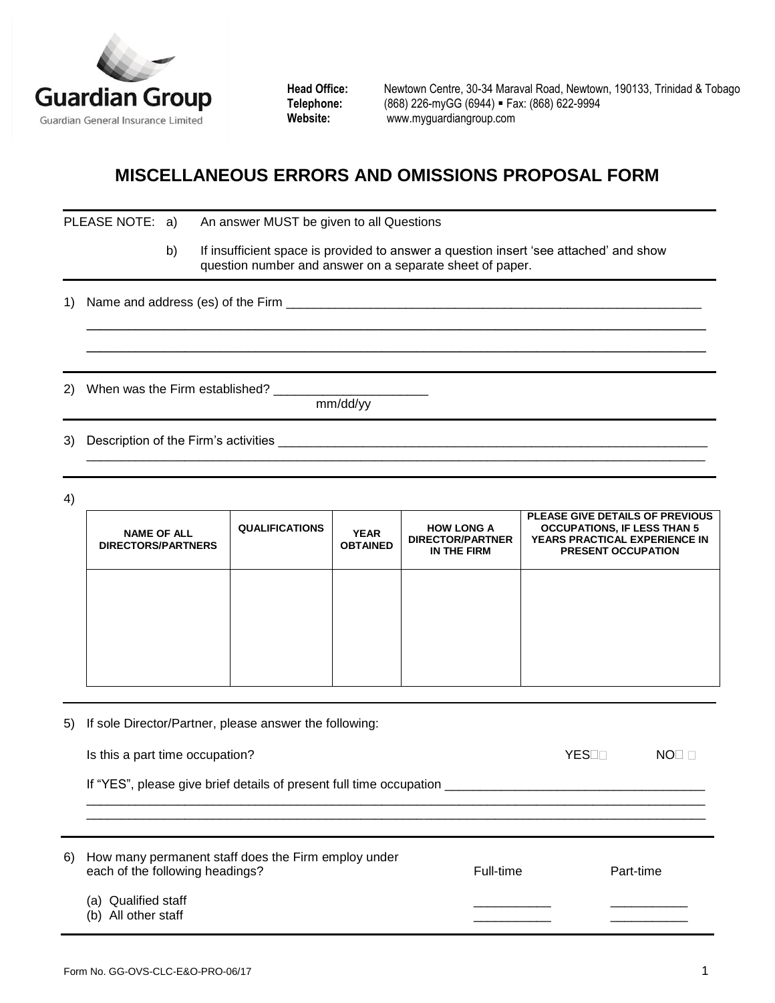

**Head Office:** Newtown Centre, 30-34 Maraval Road, Newtown, 190133, Trinidad & Tobago **Telephone:** (868) 226-myGG (6944) Fax: (868) 622-9994 **Website:** [www.myguardiangroup.com](http://www.myguardiangroup.com/)

## **MISCELLANEOUS ERRORS AND OMISSIONS PROPOSAL FORM**

|    | PLEASE NOTE: a)                                        |    |                       | An answer MUST be given to all Questions            |                                                             |                                                                                                                                                   |                                 |              |
|----|--------------------------------------------------------|----|-----------------------|-----------------------------------------------------|-------------------------------------------------------------|---------------------------------------------------------------------------------------------------------------------------------------------------|---------------------------------|--------------|
|    |                                                        | b) |                       |                                                     |                                                             | If insufficient space is provided to answer a question insert 'see attached' and show<br>question number and answer on a separate sheet of paper. |                                 |              |
| 1) |                                                        |    |                       |                                                     |                                                             |                                                                                                                                                   |                                 |              |
| 2) |                                                        |    |                       |                                                     | mm/dd/yy                                                    |                                                                                                                                                   |                                 |              |
| 3) |                                                        |    |                       |                                                     |                                                             |                                                                                                                                                   |                                 |              |
|    |                                                        |    |                       |                                                     |                                                             |                                                                                                                                                   |                                 |              |
| 4) |                                                        |    |                       |                                                     |                                                             |                                                                                                                                                   |                                 |              |
|    | <b>NAME OF ALL</b><br><b>DIRECTORS/PARTNERS</b>        |    | <b>QUALIFICATIONS</b> | <b>YEAR</b><br><b>OBTAINED</b>                      | <b>HOW LONG A</b><br><b>DIRECTOR/PARTNER</b><br>IN THE FIRM | <b>OCCUPATIONS, IF LESS THAN 5</b><br>YEARS PRACTICAL EXPERIENCE IN<br><b>PRESENT OCCUPATION</b>                                                  | PLEASE GIVE DETAILS OF PREVIOUS |              |
|    |                                                        |    |                       |                                                     |                                                             |                                                                                                                                                   |                                 |              |
|    |                                                        |    |                       |                                                     |                                                             |                                                                                                                                                   |                                 |              |
| 5) | If sole Director/Partner, please answer the following: |    |                       |                                                     |                                                             |                                                                                                                                                   |                                 |              |
|    | YESOO<br>Is this a part time occupation?               |    |                       |                                                     |                                                             |                                                                                                                                                   |                                 | $NO \square$ |
|    |                                                        |    |                       |                                                     |                                                             |                                                                                                                                                   |                                 |              |
| 6) | each of the following headings?                        |    |                       | How many permanent staff does the Firm employ under |                                                             | Full-time                                                                                                                                         |                                 | Part-time    |
|    | (a) Qualified staff<br>(b) All other staff             |    |                       |                                                     |                                                             |                                                                                                                                                   |                                 |              |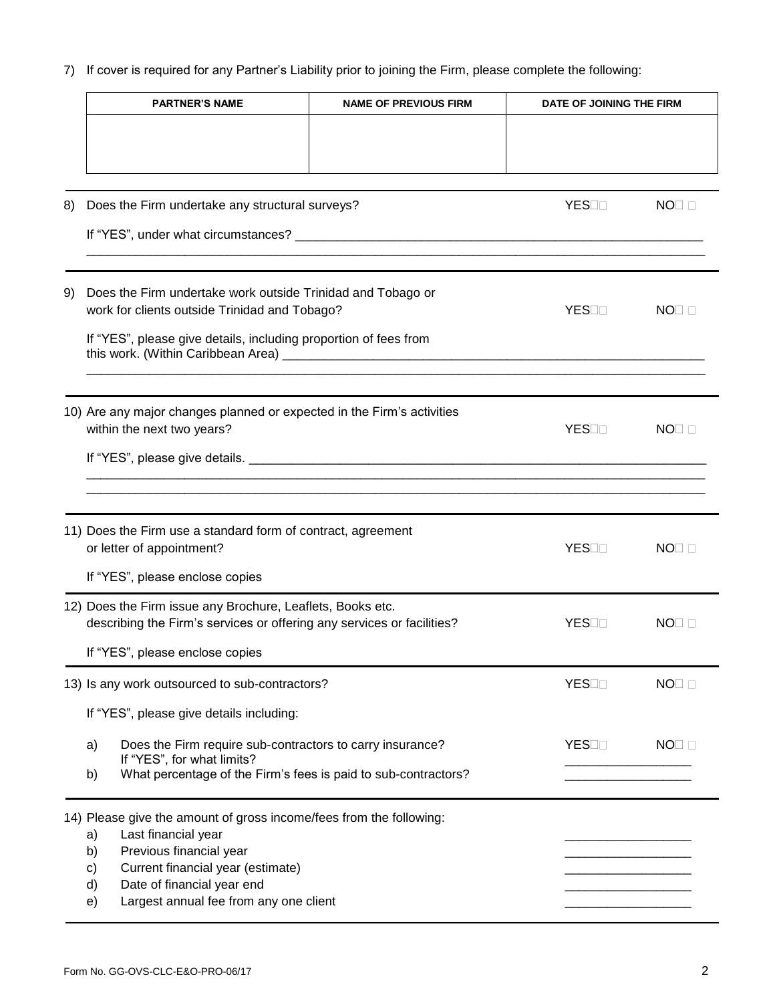7) If cover is required for any Partner's Liability prior to joining the Firm, please complete the following:

|    | <b>PARTNER'S NAME</b>                                                                                                                                                                                                                                            | <b>NAME OF PREVIOUS FIRM</b> | DATE OF JOINING THE FIRM |                   |
|----|------------------------------------------------------------------------------------------------------------------------------------------------------------------------------------------------------------------------------------------------------------------|------------------------------|--------------------------|-------------------|
|    |                                                                                                                                                                                                                                                                  |                              |                          |                   |
| 8) | Does the Firm undertake any structural surveys?                                                                                                                                                                                                                  |                              | YESOO                    | $NO \square$      |
| 9) | Does the Firm undertake work outside Trinidad and Tobago or<br>work for clients outside Trinidad and Tobago?<br>If "YES", please give details, including proportion of fees from                                                                                 |                              | YES⊟⊟                    | NO <sub>II</sub>  |
|    | 10) Are any major changes planned or expected in the Firm's activities<br>within the next two years?                                                                                                                                                             |                              | YESOO                    | $NO\square$       |
|    | 11) Does the Firm use a standard form of contract, agreement<br>or letter of appointment?                                                                                                                                                                        |                              | YESOO                    | $NO\square$       |
|    | If "YES", please enclose copies<br>12) Does the Firm issue any Brochure, Leaflets, Books etc.<br>describing the Firm's services or offering any services or facilities?                                                                                          |                              | YESON                    | NO <sub>I</sub> n |
|    | If "YES", please enclose copies                                                                                                                                                                                                                                  |                              |                          |                   |
|    | 13) Is any work outsourced to sub-contractors?<br>If "YES", please give details including:                                                                                                                                                                       |                              | YESOO                    | $NO\square$       |
|    | a)<br>Does the Firm require sub-contractors to carry insurance?<br>If "YES", for what limits?<br>What percentage of the Firm's fees is paid to sub-contractors?<br>b)                                                                                            |                              | YESOO                    | $NO\square$       |
|    | 14) Please give the amount of gross income/fees from the following:<br>Last financial year<br>a)<br>Previous financial year<br>b)<br>Current financial year (estimate)<br>c)<br>Date of financial year end<br>d)<br>Largest annual fee from any one client<br>e) |                              |                          |                   |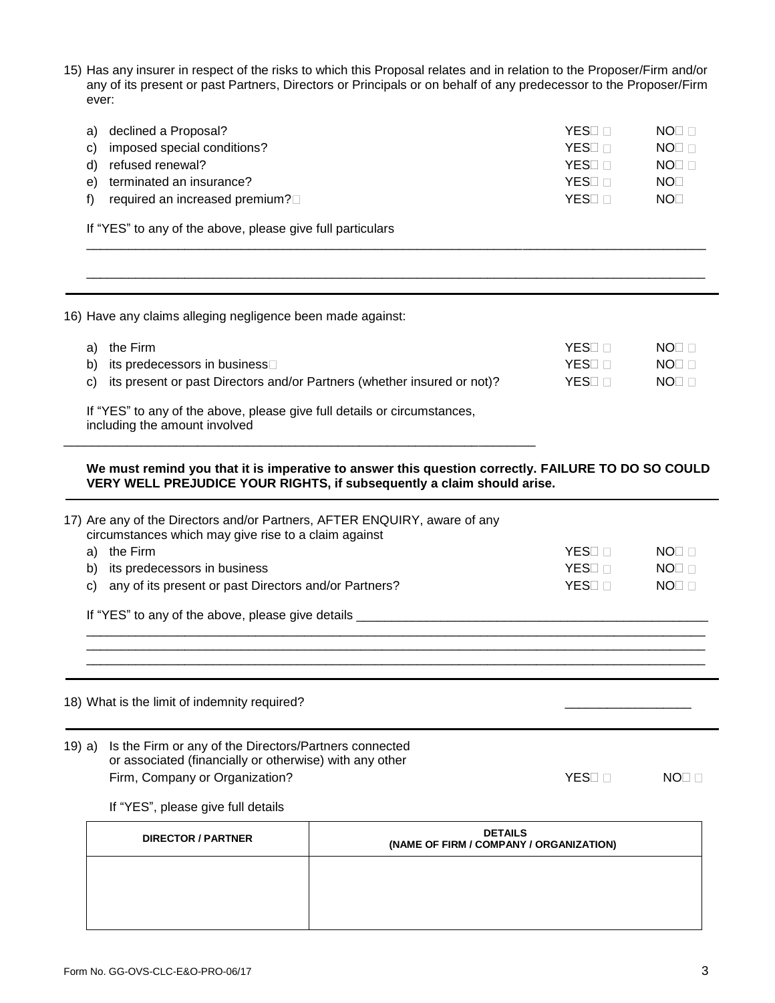15) Has any insurer in respect of the risks to which this Proposal relates and in relation to the Proposer/Firm and/or any of its present or past Partners, Directors or Principals or on behalf of any predecessor to the Proposer/Firm ever:

| a) | declined a Proposal?           | YFS⊟  | NO <sub>I</sub> n |
|----|--------------------------------|-------|-------------------|
|    | c) imposed special conditions? | YES⊟  | NO <sub>I</sub> n |
| d) | refused renewal?               | YES⊟  | NO <sub>I</sub> n |
| e) | terminated an insurance?       | YES⊟⊺ | NOT               |
| f) | required an increased premium? | YES⊟  | NOT               |
|    |                                |       |                   |

\_\_\_\_\_\_\_\_\_\_\_\_\_\_\_\_\_\_\_\_\_\_\_\_\_\_\_\_\_\_\_\_\_\_\_\_\_\_\_\_\_\_\_\_\_\_\_\_\_\_\_\_\_\_\_\_\_\_\_\_\_\_\_\_\_\_\_\_\_\_\_\_\_\_\_\_\_\_\_\_\_\_\_\_\_\_\_\_

\_\_\_\_\_\_\_\_\_\_\_\_\_\_\_\_\_\_\_\_\_\_\_\_\_\_\_\_\_\_\_\_\_\_\_\_\_\_\_\_\_\_\_\_\_\_\_\_\_\_\_\_\_\_\_\_\_\_\_\_\_\_\_\_\_\_\_\_\_\_\_\_\_\_\_\_\_\_\_\_\_\_\_\_\_\_\_\_

If "YES" to any of the above, please give full particulars

| a) | the Firm                                                                | YES⊟ ⊟ | NOT |
|----|-------------------------------------------------------------------------|--------|-----|
| b) | its predecessors in business□                                           | YES⊟ ⊟ | NO⊡ |
| C) | its present or past Directors and/or Partners (whether insured or not)? | YES⊟ ⊟ | NOT |

\_\_\_\_\_\_\_\_\_\_\_\_\_\_\_\_\_\_\_\_\_\_\_\_\_\_\_\_\_\_\_\_\_\_\_\_\_\_\_\_\_\_\_\_\_\_\_\_\_\_\_\_\_\_\_\_\_\_\_\_\_\_\_\_\_\_\_

including the amount involved

## **We must remind you that it is imperative to answer this question correctly. FAILURE TO DO SO COULD VERY WELL PREJUDICE YOUR RIGHTS, if subsequently a claim should arise.**

| 19) a) | Is the Firm or any of the Directors/Partners connected<br>or associated (financially or otherwise) with any other<br>Firm, Company or Organization?<br>If "YES", please give full details | YES <sub>I</sub>   | NO <sub>I</sub> n |
|--------|-------------------------------------------------------------------------------------------------------------------------------------------------------------------------------------------|--------------------|-------------------|
|        |                                                                                                                                                                                           |                    |                   |
|        |                                                                                                                                                                                           |                    |                   |
|        | 18) What is the limit of indemnity required?                                                                                                                                              |                    |                   |
|        |                                                                                                                                                                                           |                    |                   |
|        | If "YES" to any of the above, please give details _______                                                                                                                                 |                    |                   |
| C)     | any of its present or past Directors and/or Partners?                                                                                                                                     | YES <sub>I</sub>   | $NO \Box$         |
| b)     | its predecessors in business                                                                                                                                                              | YES <sub>I</sub> n | $NOT \Box$        |
| a)     | the Firm                                                                                                                                                                                  | YES <sub>I</sub> n | $NOT \Box$        |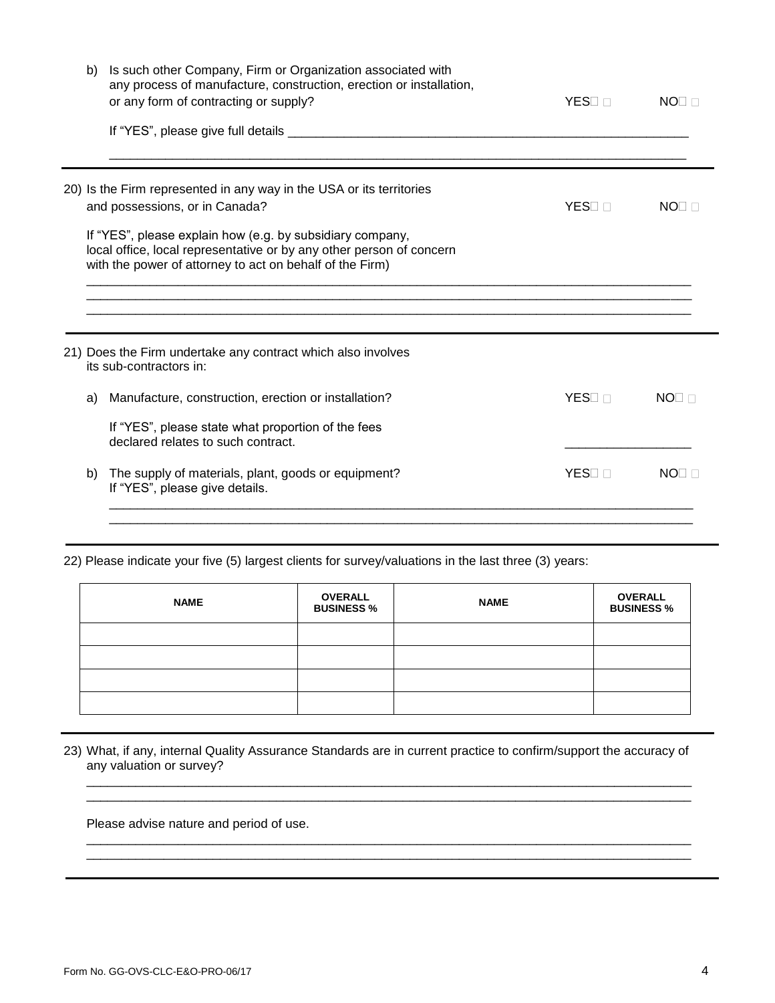| b) | Is such other Company, Firm or Organization associated with<br>any process of manufacture, construction, erection or installation,<br>or any form of contracting or supply?                   | <b>YES</b>         | $NOT \Box$        |
|----|-----------------------------------------------------------------------------------------------------------------------------------------------------------------------------------------------|--------------------|-------------------|
|    |                                                                                                                                                                                               |                    |                   |
|    | 20) Is the Firm represented in any way in the USA or its territories<br>and possessions, or in Canada?                                                                                        | YES⊟ ⊟             | NO <sub>I</sub> n |
|    | If "YES", please explain how (e.g. by subsidiary company,<br>local office, local representative or by any other person of concern<br>with the power of attorney to act on behalf of the Firm) |                    |                   |
|    | 21) Does the Firm undertake any contract which also involves<br>its sub-contractors in:                                                                                                       |                    |                   |
| a) | Manufacture, construction, erection or installation?                                                                                                                                          | YES <sub>D</sub>   | NO <sub>I</sub>   |
|    | If "YES", please state what proportion of the fees<br>declared relates to such contract.                                                                                                      |                    |                   |
| b) | The supply of materials, plant, goods or equipment?<br>If "YES", please give details.                                                                                                         | YES <sub>I</sub> n | NO <sub>I</sub>   |
|    |                                                                                                                                                                                               |                    |                   |

22) Please indicate your five (5) largest clients for survey/valuations in the last three (3) years:

| <b>NAME</b> | <b>OVERALL</b><br><b>BUSINESS %</b> | <b>NAME</b> | <b>OVERALL</b><br><b>BUSINESS %</b> |
|-------------|-------------------------------------|-------------|-------------------------------------|
|             |                                     |             |                                     |
|             |                                     |             |                                     |
|             |                                     |             |                                     |
|             |                                     |             |                                     |

23) What, if any, internal Quality Assurance Standards are in current practice to confirm/support the accuracy of any valuation or survey?

\_\_\_\_\_\_\_\_\_\_\_\_\_\_\_\_\_\_\_\_\_\_\_\_\_\_\_\_\_\_\_\_\_\_\_\_\_\_\_\_\_\_\_\_\_\_\_\_\_\_\_\_\_\_\_\_\_\_\_\_\_\_\_\_\_\_\_\_\_\_\_\_\_\_\_\_\_\_\_\_\_\_\_\_\_\_ \_\_\_\_\_\_\_\_\_\_\_\_\_\_\_\_\_\_\_\_\_\_\_\_\_\_\_\_\_\_\_\_\_\_\_\_\_\_\_\_\_\_\_\_\_\_\_\_\_\_\_\_\_\_\_\_\_\_\_\_\_\_\_\_\_\_\_\_\_\_\_\_\_\_\_\_\_\_\_\_\_\_\_\_\_\_

\_\_\_\_\_\_\_\_\_\_\_\_\_\_\_\_\_\_\_\_\_\_\_\_\_\_\_\_\_\_\_\_\_\_\_\_\_\_\_\_\_\_\_\_\_\_\_\_\_\_\_\_\_\_\_\_\_\_\_\_\_\_\_\_\_\_\_\_\_\_\_\_\_\_\_\_\_\_\_\_\_\_\_\_\_\_ \_\_\_\_\_\_\_\_\_\_\_\_\_\_\_\_\_\_\_\_\_\_\_\_\_\_\_\_\_\_\_\_\_\_\_\_\_\_\_\_\_\_\_\_\_\_\_\_\_\_\_\_\_\_\_\_\_\_\_\_\_\_\_\_\_\_\_\_\_\_\_\_\_\_\_\_\_\_\_\_\_\_\_\_\_\_

Please advise nature and period of use.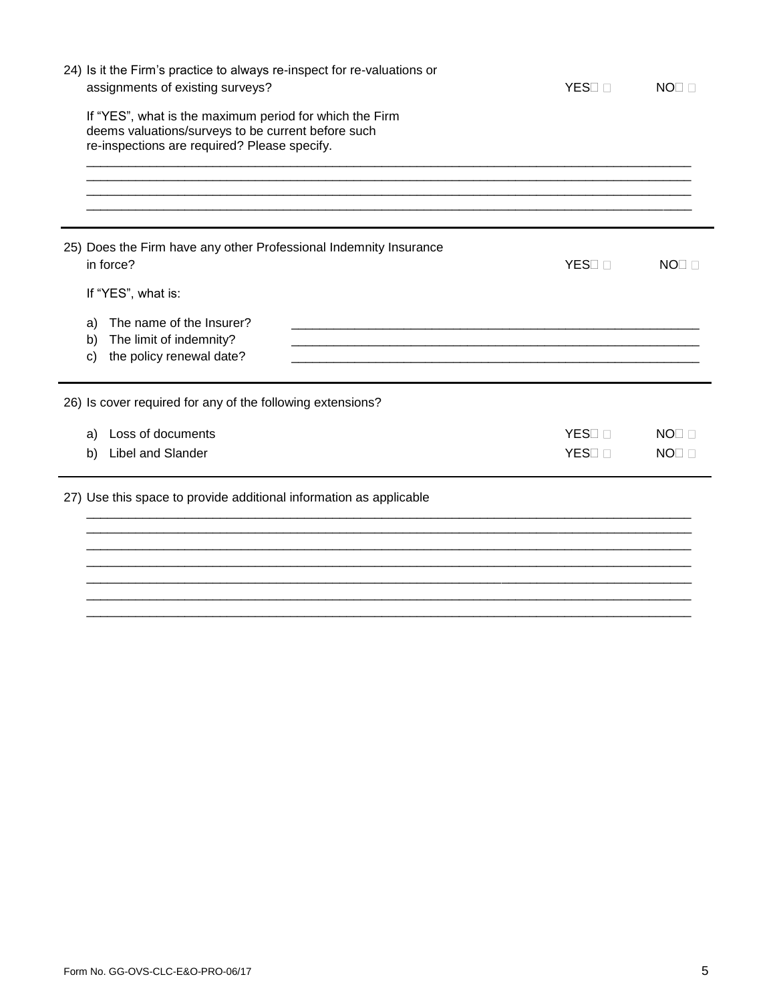|                | 24) Is it the Firm's practice to always re-inspect for re-valuations or<br>assignments of existing surveys?                                                   | YES <sub>II</sub> | $NO \Box$       |
|----------------|---------------------------------------------------------------------------------------------------------------------------------------------------------------|-------------------|-----------------|
|                | If "YES", what is the maximum period for which the Firm<br>deems valuations/surveys to be current before such<br>re-inspections are required? Please specify. |                   |                 |
|                |                                                                                                                                                               |                   |                 |
|                | 25) Does the Firm have any other Professional Indemnity Insurance<br>in force?                                                                                | YES <sub>II</sub> | $NO\square$     |
|                | If "YES", what is:                                                                                                                                            |                   |                 |
| a)<br>b)<br>C) | The name of the Insurer?<br>The limit of indemnity?<br>the policy renewal date?                                                                               |                   |                 |
|                | 26) Is cover required for any of the following extensions?                                                                                                    |                   |                 |
| a)             | Loss of documents                                                                                                                                             | YES <sub>I</sub>  | NO <sub>1</sub> |
| b)             | Libel and Slander                                                                                                                                             | YES <sub>II</sub> | $NO\square$     |
|                | 27) Use this space to provide additional information as applicable                                                                                            |                   |                 |
|                |                                                                                                                                                               |                   |                 |
|                |                                                                                                                                                               |                   |                 |
|                |                                                                                                                                                               |                   |                 |
|                |                                                                                                                                                               |                   |                 |